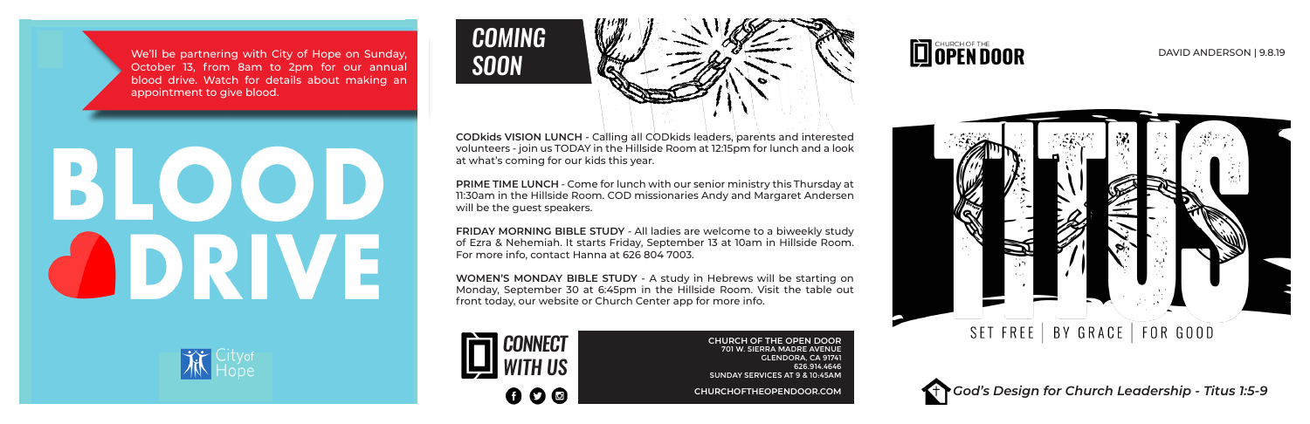## *COMING SOON*



**CODkids VISION LUNCH** - Calling all CODkids leaders, parents and interested volunteers - join us TODAY in the Hillside Room at 12:15pm for lunch and a look at what's coming for our kids this year.

**PRIME TIME LUNCH** - Come for lunch with our senior ministry this Thursday at 11:30am in the Hillside Room. COD missionaries Andy and Margaret Andersen will be the guest speakers.

**FRIDAY MORNING BIBLE STUDY** - All ladies are welcome to a biweekly study of Ezra & Nehemiah. It starts Friday, September 13 at 10am in Hillside Room. For more info, contact Hanna at 626 804 7003.

**WOMEN'S MONDAY BIBLE STUDY** - A study in Hebrews will be starting on Monday, September 30 at 6:45pm in the Hillside Room. Visit the table out front today, our website or Church Center app for more info.

> **CHURCH OF THE OPEN DOOR** 701 W. SIERRA MADRE AVENUE GLENDORA, CA 91741 626.914.4646 SUNDAY SERVICES AT 9 & 10:45AM

**CHURCHOFTHEOPENDOOR.COM**



# **DOPEN DOOR**



#### DAVID ANDERSON | 9.8.19



*God's Design for Church Leadership - Titus 1:5-9*

We'll be partnering with City of Hope on Sunday, October 13, from 8am to 2pm for our annual blood drive. Watch for details about making an appointment to give blood.